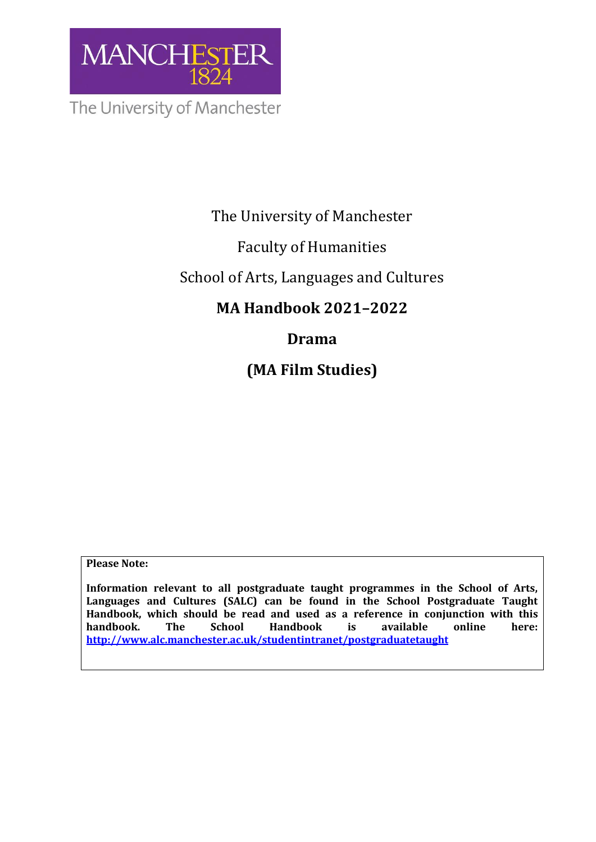

The University of Manchester

# The University of Manchester

# Faculty of Humanities

# School of Arts, Languages and Cultures

# **MA Handbook 2021–2022**

# **Drama**

**(MA Film Studies)**

**Please Note:** 

**Information relevant to all postgraduate taught programmes in the School of Arts, Languages and Cultures (SALC) can be found in the School Postgraduate Taught Handbook, which should be read and used as a reference in conjunction with this handbook. The School Handbook is available online here: <http://www.alc.manchester.ac.uk/studentintranet/postgraduatetaught>**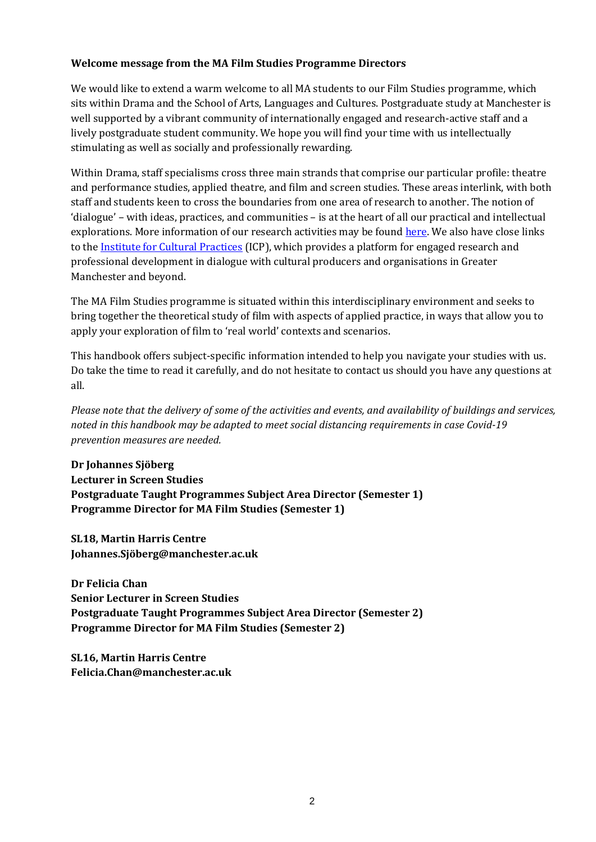## **Welcome message from the MA Film Studies Programme Directors**

We would like to extend a warm welcome to all MA students to our Film Studies programme, which sits within Drama and the School of Arts, Languages and Cultures. Postgraduate study at Manchester is well supported by a vibrant community of internationally engaged and research-active staff and a lively postgraduate student community. We hope you will find your time with us intellectually stimulating as well as socially and professionally rewarding.

Within Drama, staff specialisms cross three main strands that comprise our particular profile: theatre and performance studies, applied theatre, and film and screen studies. These areas interlink, with both staff and students keen to cross the boundaries from one area of research to another. The notion of 'dialogue' – with ideas, practices, and communities – is at the heart of all our practical and intellectual explorations. More information of our research activities may be found [here.](http://www.alc.manchester.ac.uk/subjects/drama/research/) We also have close links to the **Institute for Cultural Practices** (ICP), which provides a platform for engaged research and professional development in dialogue with cultural producers and organisations in Greater Manchester and beyond.

The MA Film Studies programme is situated within this interdisciplinary environment and seeks to bring together the theoretical study of film with aspects of applied practice, in ways that allow you to apply your exploration of film to 'real world' contexts and scenarios.

This handbook offers subject-specific information intended to help you navigate your studies with us. Do take the time to read it carefully, and do not hesitate to contact us should you have any questions at all.

*Please note that the delivery of some of the activities and events, and availability of buildings and services, noted in this handbook may be adapted to meet social distancing requirements in case Covid-19 prevention measures are needed.*

**Dr Johannes Sjöberg Lecturer in Screen Studies Postgraduate Taught Programmes Subject Area Director (Semester 1) Programme Director for MA Film Studies (Semester 1)**

**SL18, Martin Harris Centre Johannes.Sjöberg@manchester.ac.uk**

**Dr Felicia Chan Senior Lecturer in Screen Studies Postgraduate Taught Programmes Subject Area Director (Semester 2) Programme Director for MA Film Studies (Semester 2)**

**SL16, Martin Harris Centre Felicia.Chan@manchester.ac.uk**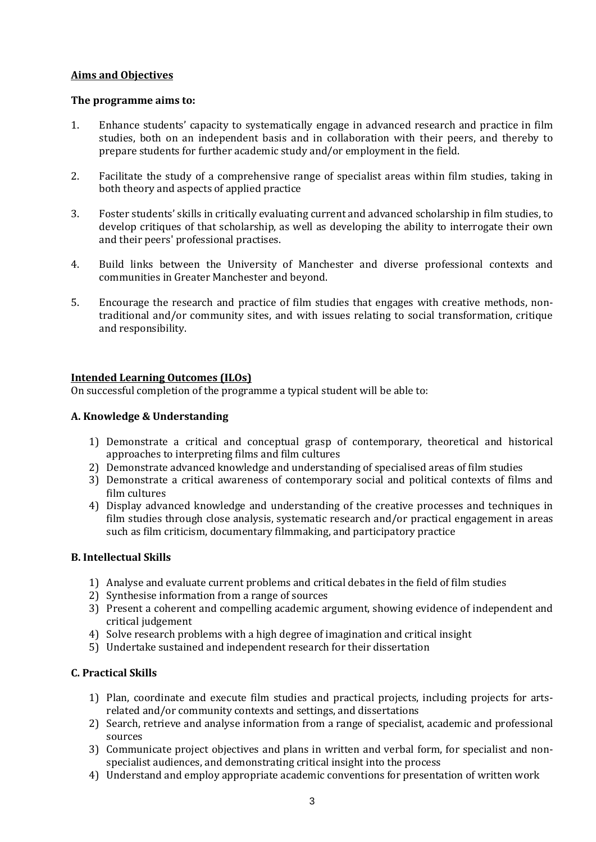### **Aims and Objectives**

#### **The programme aims to:**

- 1. Enhance students' capacity to systematically engage in advanced research and practice in film studies, both on an independent basis and in collaboration with their peers, and thereby to prepare students for further academic study and/or employment in the field.
- 2. Facilitate the study of a comprehensive range of specialist areas within film studies, taking in both theory and aspects of applied practice
- 3. Foster students' skills in critically evaluating current and advanced scholarship in film studies, to develop critiques of that scholarship, as well as developing the ability to interrogate their own and their peers' professional practises.
- 4. Build links between the University of Manchester and diverse professional contexts and communities in Greater Manchester and beyond.
- 5. Encourage the research and practice of film studies that engages with creative methods, nontraditional and/or community sites, and with issues relating to social transformation, critique and responsibility.

### **Intended Learning Outcomes (ILOs)**

On successful completion of the programme a typical student will be able to:

### **A. Knowledge & Understanding**

- 1) Demonstrate a critical and conceptual grasp of contemporary, theoretical and historical approaches to interpreting films and film cultures
- 2) Demonstrate advanced knowledge and understanding of specialised areas of film studies
- 3) Demonstrate a critical awareness of contemporary social and political contexts of films and film cultures
- 4) Display advanced knowledge and understanding of the creative processes and techniques in film studies through close analysis, systematic research and/or practical engagement in areas such as film criticism, documentary filmmaking, and participatory practice

### **B. Intellectual Skills**

- 1) Analyse and evaluate current problems and critical debates in the field of film studies
- 2) Synthesise information from a range of sources
- 3) Present a coherent and compelling academic argument, showing evidence of independent and critical judgement
- 4) Solve research problems with a high degree of imagination and critical insight
- 5) Undertake sustained and independent research for their dissertation

## **C. Practical Skills**

- 1) Plan, coordinate and execute film studies and practical projects, including projects for artsrelated and/or community contexts and settings, and dissertations
- 2) Search, retrieve and analyse information from a range of specialist, academic and professional sources
- 3) Communicate project objectives and plans in written and verbal form, for specialist and nonspecialist audiences, and demonstrating critical insight into the process
- 4) Understand and employ appropriate academic conventions for presentation of written work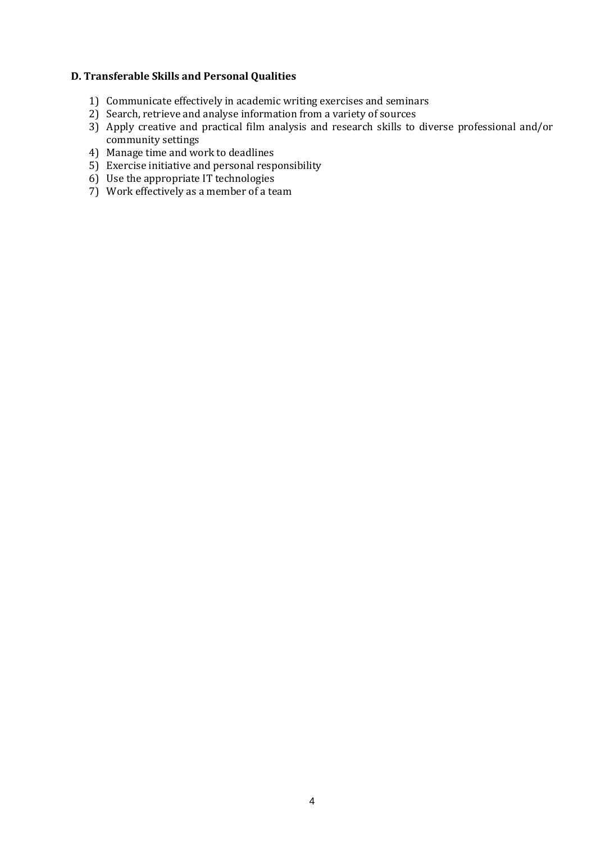#### **D. Transferable Skills and Personal Qualities**

- 1) Communicate effectively in academic writing exercises and seminars
- 2) Search, retrieve and analyse information from a variety of sources
- 3) Apply creative and practical film analysis and research skills to diverse professional and/or community settings
- 4) Manage time and work to deadlines
- 5) Exercise initiative and personal responsibility
- 6) Use the appropriate IT technologies
- 7) Work effectively as a member of a team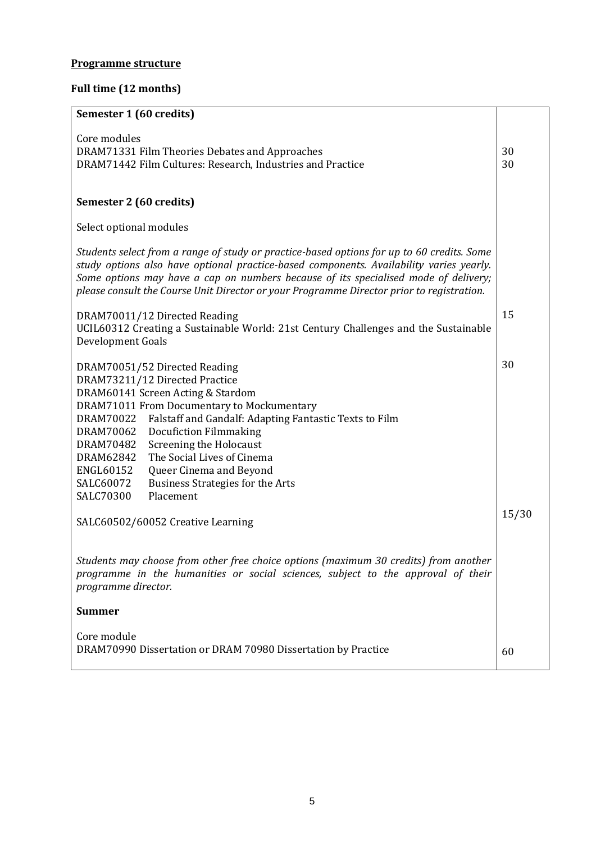## **Programme structure**

## **Full time (12 months)**

| Semester 1 (60 credits)                                                                                                                                                                                                                                                                                                                                                                                                                                                                                                                                                                                                                                                                                                                |             |  |
|----------------------------------------------------------------------------------------------------------------------------------------------------------------------------------------------------------------------------------------------------------------------------------------------------------------------------------------------------------------------------------------------------------------------------------------------------------------------------------------------------------------------------------------------------------------------------------------------------------------------------------------------------------------------------------------------------------------------------------------|-------------|--|
| Core modules<br>DRAM71331 Film Theories Debates and Approaches<br>DRAM71442 Film Cultures: Research, Industries and Practice                                                                                                                                                                                                                                                                                                                                                                                                                                                                                                                                                                                                           | 30<br>30    |  |
| Semester 2 (60 credits)                                                                                                                                                                                                                                                                                                                                                                                                                                                                                                                                                                                                                                                                                                                |             |  |
| Select optional modules                                                                                                                                                                                                                                                                                                                                                                                                                                                                                                                                                                                                                                                                                                                |             |  |
| Students select from a range of study or practice-based options for up to 60 credits. Some<br>study options also have optional practice-based components. Availability varies yearly.<br>Some options may have a cap on numbers because of its specialised mode of delivery;<br>please consult the Course Unit Director or your Programme Director prior to registration.                                                                                                                                                                                                                                                                                                                                                              |             |  |
| DRAM70011/12 Directed Reading<br>UCIL60312 Creating a Sustainable World: 21st Century Challenges and the Sustainable<br>Development Goals                                                                                                                                                                                                                                                                                                                                                                                                                                                                                                                                                                                              | 15          |  |
| DRAM70051/52 Directed Reading<br>DRAM73211/12 Directed Practice<br>DRAM60141 Screen Acting & Stardom<br>DRAM71011 From Documentary to Mockumentary<br>Falstaff and Gandalf: Adapting Fantastic Texts to Film<br>DRAM70022<br><b>Docufiction Filmmaking</b><br>DRAM70062<br>DRAM70482<br>Screening the Holocaust<br>The Social Lives of Cinema<br>DRAM62842<br>ENGL60152<br>Queer Cinema and Beyond<br>SALC60072<br>Business Strategies for the Arts<br>SALC70300<br>Placement<br>SALC60502/60052 Creative Learning<br>Students may choose from other free choice options (maximum 30 credits) from another<br>programme in the humanities or social sciences, subject to the approval of their<br>programme director.<br><b>Summer</b> | 30<br>15/30 |  |
| Core module<br>DRAM70990 Dissertation or DRAM 70980 Dissertation by Practice                                                                                                                                                                                                                                                                                                                                                                                                                                                                                                                                                                                                                                                           | 60          |  |
|                                                                                                                                                                                                                                                                                                                                                                                                                                                                                                                                                                                                                                                                                                                                        |             |  |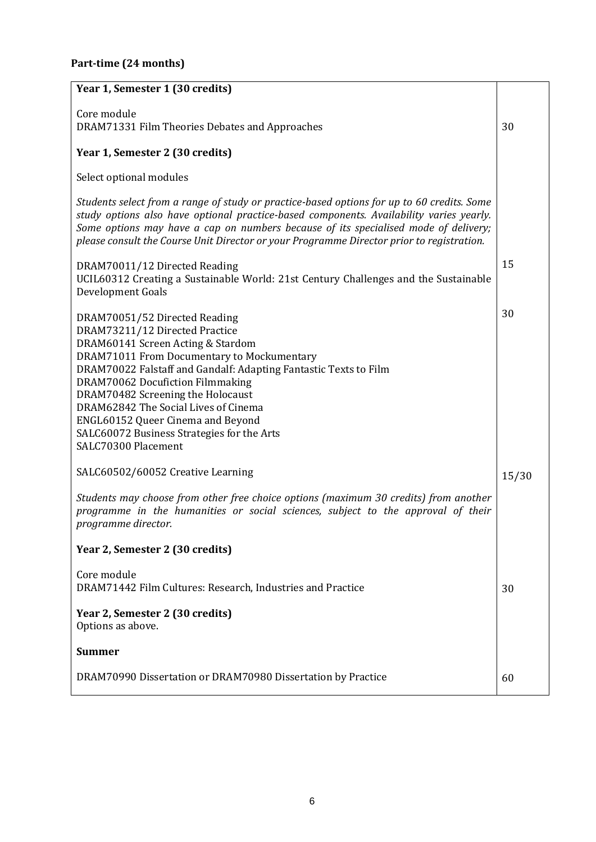## **Part-time (24 months)**

| Year 1, Semester 1 (30 credits)                                                                                                                                                                                                                                                                                                                                                                                                                   |       |
|---------------------------------------------------------------------------------------------------------------------------------------------------------------------------------------------------------------------------------------------------------------------------------------------------------------------------------------------------------------------------------------------------------------------------------------------------|-------|
|                                                                                                                                                                                                                                                                                                                                                                                                                                                   |       |
| Core module<br>DRAM71331 Film Theories Debates and Approaches                                                                                                                                                                                                                                                                                                                                                                                     | 30    |
| Year 1, Semester 2 (30 credits)                                                                                                                                                                                                                                                                                                                                                                                                                   |       |
| Select optional modules                                                                                                                                                                                                                                                                                                                                                                                                                           |       |
| Students select from a range of study or practice-based options for up to 60 credits. Some<br>study options also have optional practice-based components. Availability varies yearly.<br>Some options may have a cap on numbers because of its specialised mode of delivery;<br>please consult the Course Unit Director or your Programme Director prior to registration.                                                                         |       |
| DRAM70011/12 Directed Reading<br>UCIL60312 Creating a Sustainable World: 21st Century Challenges and the Sustainable<br>Development Goals                                                                                                                                                                                                                                                                                                         | 15    |
| DRAM70051/52 Directed Reading<br>DRAM73211/12 Directed Practice<br>DRAM60141 Screen Acting & Stardom<br>DRAM71011 From Documentary to Mockumentary<br>DRAM70022 Falstaff and Gandalf: Adapting Fantastic Texts to Film<br>DRAM70062 Docufiction Filmmaking<br>DRAM70482 Screening the Holocaust<br>DRAM62842 The Social Lives of Cinema<br>ENGL60152 Queer Cinema and Beyond<br>SALC60072 Business Strategies for the Arts<br>SALC70300 Placement | 30    |
| SALC60502/60052 Creative Learning                                                                                                                                                                                                                                                                                                                                                                                                                 | 15/30 |
| Students may choose from other free choice options (maximum 30 credits) from another<br>programme in the humanities or social sciences, subject to the approval of their<br>programme director.                                                                                                                                                                                                                                                   |       |
| Year 2, Semester 2 (30 credits)                                                                                                                                                                                                                                                                                                                                                                                                                   |       |
| Core module<br>DRAM71442 Film Cultures: Research, Industries and Practice                                                                                                                                                                                                                                                                                                                                                                         | 30    |
| Year 2, Semester 2 (30 credits)<br>Options as above.                                                                                                                                                                                                                                                                                                                                                                                              |       |
| <b>Summer</b>                                                                                                                                                                                                                                                                                                                                                                                                                                     |       |
| DRAM70990 Dissertation or DRAM70980 Dissertation by Practice                                                                                                                                                                                                                                                                                                                                                                                      | 60    |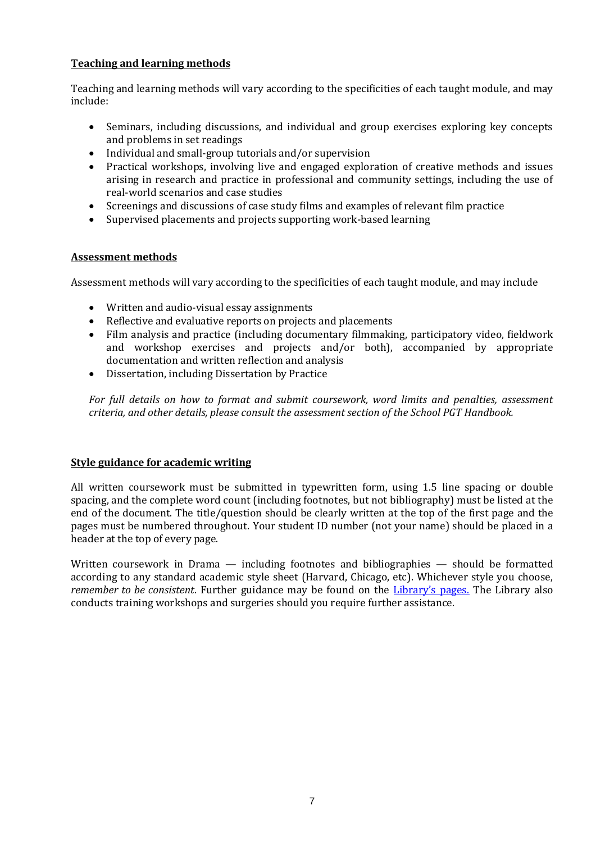## **Teaching and learning methods**

Teaching and learning methods will vary according to the specificities of each taught module, and may include:

- Seminars, including discussions, and individual and group exercises exploring key concepts and problems in set readings
- Individual and small-group tutorials and/or supervision
- Practical workshops, involving live and engaged exploration of creative methods and issues arising in research and practice in professional and community settings, including the use of real-world scenarios and case studies
- Screenings and discussions of case study films and examples of relevant film practice
- Supervised placements and projects supporting work-based learning

## **Assessment methods**

Assessment methods will vary according to the specificities of each taught module, and may include

- Written and audio-visual essay assignments
- Reflective and evaluative reports on projects and placements
- Film analysis and practice (including documentary filmmaking, participatory video, fieldwork and workshop exercises and projects and/or both), accompanied by appropriate documentation and written reflection and analysis
- Dissertation, including Dissertation by Practice

*For full details on how to format and submit coursework, word limits and penalties, assessment criteria, and other details, please consult the assessment section of the School PGT Handbook.*

### **Style guidance for academic writing**

All written coursework must be submitted in typewritten form, using 1.5 line spacing or double spacing, and the complete word count (including footnotes, but not bibliography) must be listed at the end of the document. The title/question should be clearly written at the top of the first page and the pages must be numbered throughout. Your student ID number (not your name) should be placed in a header at the top of every page.

Written coursework in Drama — including footnotes and bibliographies — should be formatted according to any standard academic style sheet (Harvard, Chicago, etc). Whichever style you choose, *remember to be consistent*. Further guidance may be found on the [Library's pages.](http://subjects.library.manchester.ac.uk/referencing) The Library also conducts training workshops and surgeries should you require further assistance.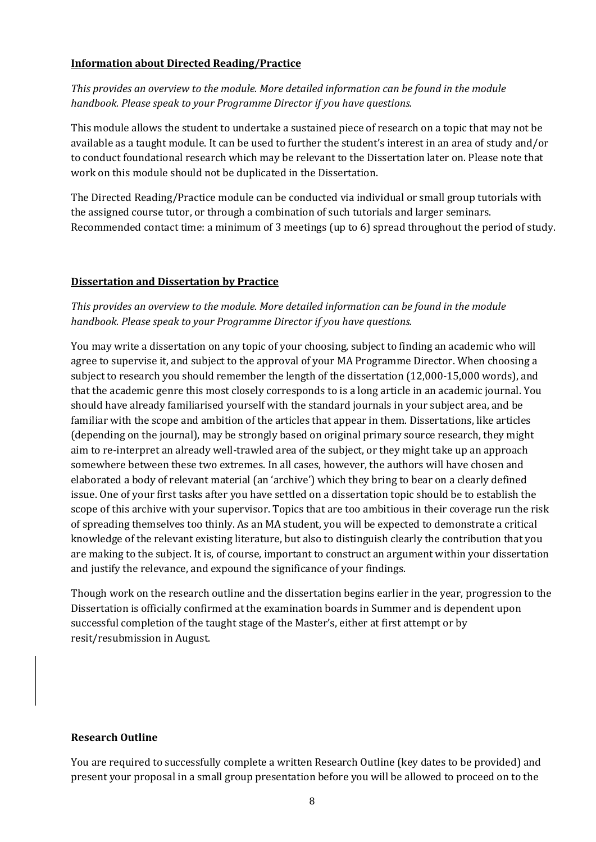### **Information about Directed Reading/Practice**

*This provides an overview to the module. More detailed information can be found in the module handbook. Please speak to your Programme Director if you have questions.*

This module allows the student to undertake a sustained piece of research on a topic that may not be available as a taught module. It can be used to further the student's interest in an area of study and/or to conduct foundational research which may be relevant to the Dissertation later on. Please note that work on this module should not be duplicated in the Dissertation.

The Directed Reading/Practice module can be conducted via individual or small group tutorials with the assigned course tutor, or through a combination of such tutorials and larger seminars. Recommended contact time: a minimum of 3 meetings (up to 6) spread throughout the period of study.

## **Dissertation and Dissertation by Practice**

## *This provides an overview to the module. More detailed information can be found in the module handbook. Please speak to your Programme Director if you have questions.*

You may write a dissertation on any topic of your choosing, subject to finding an academic who will agree to supervise it, and subject to the approval of your MA Programme Director. When choosing a subject to research you should remember the length of the dissertation (12,000-15,000 words), and that the academic genre this most closely corresponds to is a long article in an academic journal. You should have already familiarised yourself with the standard journals in your subject area, and be familiar with the scope and ambition of the articles that appear in them. Dissertations, like articles (depending on the journal), may be strongly based on original primary source research, they might aim to re-interpret an already well-trawled area of the subject, or they might take up an approach somewhere between these two extremes. In all cases, however, the authors will have chosen and elaborated a body of relevant material (an 'archive') which they bring to bear on a clearly defined issue. One of your first tasks after you have settled on a dissertation topic should be to establish the scope of this archive with your supervisor. Topics that are too ambitious in their coverage run the risk of spreading themselves too thinly. As an MA student, you will be expected to demonstrate a critical knowledge of the relevant existing literature, but also to distinguish clearly the contribution that you are making to the subject. It is, of course, important to construct an argument within your dissertation and justify the relevance, and expound the significance of your findings.

Though work on the research outline and the dissertation begins earlier in the year, progression to the Dissertation is officially confirmed at the examination boards in Summer and is dependent upon successful completion of the taught stage of the Master's, either at first attempt or by resit/resubmission in August.

### **Research Outline**

You are required to successfully complete a written Research Outline (key dates to be provided) and present your proposal in a small group presentation before you will be allowed to proceed on to the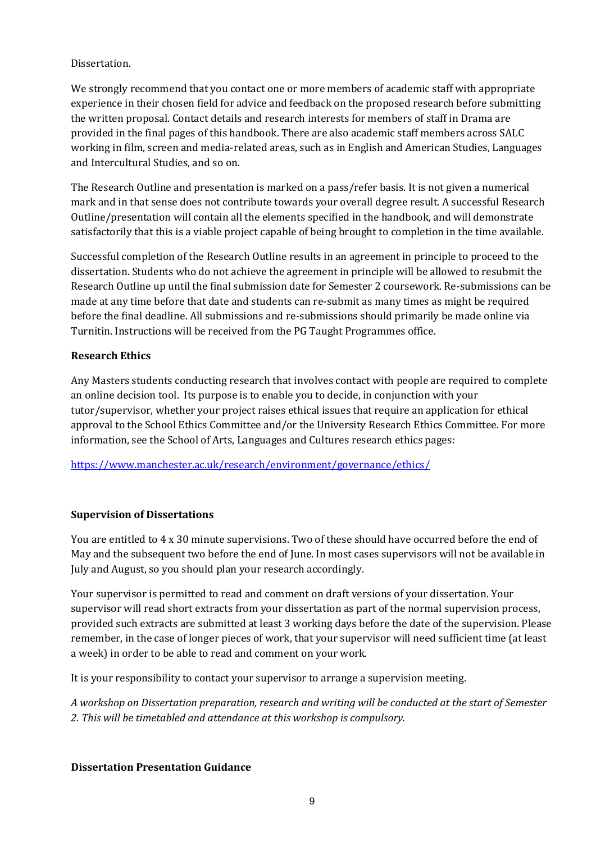## Dissertation.

We strongly recommend that you contact one or more members of academic staff with appropriate experience in their chosen field for advice and feedback on the proposed research before submitting the written proposal. Contact details and research interests for members of staff in Drama are provided in the final pages of this handbook. There are also academic staff members across SALC working in film, screen and media-related areas, such as in English and American Studies, Languages and Intercultural Studies, and so on.

The Research Outline and presentation is marked on a pass/refer basis. It is not given a numerical mark and in that sense does not contribute towards your overall degree result. A successful Research Outline/presentation will contain all the elements specified in the handbook, and will demonstrate satisfactorily that this is a viable project capable of being brought to completion in the time available.

Successful completion of the Research Outline results in an agreement in principle to proceed to the dissertation. Students who do not achieve the agreement in principle will be allowed to resubmit the Research Outline up until the final submission date for Semester 2 coursework. Re-submissions can be made at any time before that date and students can re-submit as many times as might be required before the final deadline. All submissions and re-submissions should primarily be made online via Turnitin. Instructions will be received from the PG Taught Programmes office.

## **Research Ethics**

Any Masters students conducting research that involves contact with people are required to complete an online decision tool. Its purpose is to enable you to decide, in conjunction with your tutor/supervisor, whether your project raises ethical issues that require an application for ethical approval to the School Ethics Committee and/or the University Research Ethics Committee. For more information, see the School of Arts, Languages and Cultures research ethics pages:

<https://www.manchester.ac.uk/research/environment/governance/ethics/>

## **Supervision of Dissertations**

You are entitled to 4 x 30 minute supervisions. Two of these should have occurred before the end of May and the subsequent two before the end of June. In most cases supervisors will not be available in July and August, so you should plan your research accordingly.

Your supervisor is permitted to read and comment on draft versions of your dissertation. Your supervisor will read short extracts from your dissertation as part of the normal supervision process, provided such extracts are submitted at least 3 working days before the date of the supervision. Please remember, in the case of longer pieces of work, that your supervisor will need sufficient time (at least a week) in order to be able to read and comment on your work.

It is your responsibility to contact your supervisor to arrange a supervision meeting.

*A workshop on Dissertation preparation, research and writing will be conducted at the start of Semester 2. This will be timetabled and attendance at this workshop is compulsory.*

### **Dissertation Presentation Guidance**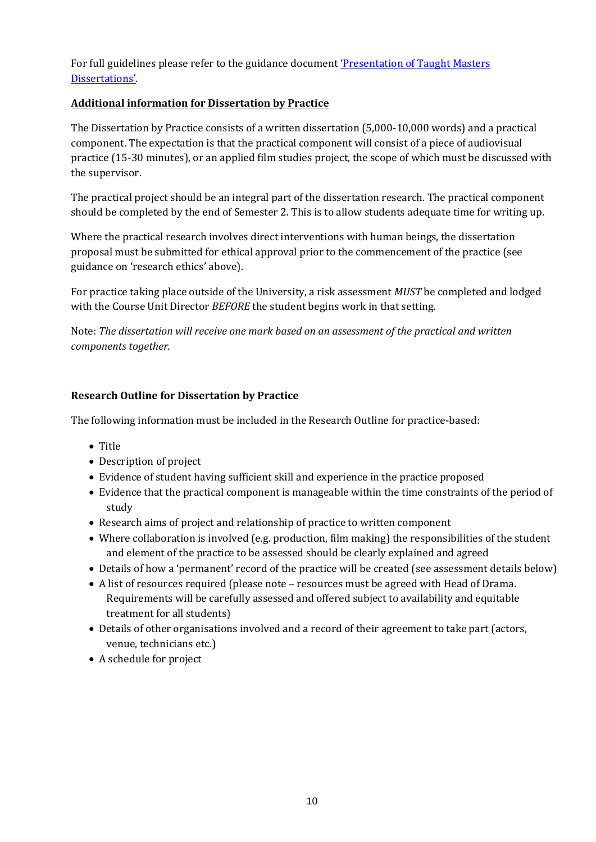For full guidelines please refer to the guidance document ['Presentation of Taught Masters](http://www.tlso.manchester.ac.uk/map/teachinglearningassessment/assessment/sectionb-thepracticeofassessment/guidanceforthepresentationoftaughtmastersdissertations/)  [Dissertations'](http://www.tlso.manchester.ac.uk/map/teachinglearningassessment/assessment/sectionb-thepracticeofassessment/guidanceforthepresentationoftaughtmastersdissertations/).

## **Additional information for Dissertation by Practice**

The Dissertation by Practice consists of a written dissertation (5,000-10,000 words) and a practical component. The expectation is that the practical component will consist of a piece of audiovisual practice (15-30 minutes), or an applied film studies project, the scope of which must be discussed with the supervisor.

The practical project should be an integral part of the dissertation research. The practical component should be completed by the end of Semester 2. This is to allow students adequate time for writing up.

Where the practical research involves direct interventions with human beings, the dissertation proposal must be submitted for ethical approval prior to the commencement of the practice (see guidance on 'research ethics' above).

For practice taking place outside of the University, a risk assessment *MUST* be completed and lodged with the Course Unit Director *BEFORE* the student begins work in that setting.

Note: *The dissertation will receive one mark based on an assessment of the practical and written components together.*

## **Research Outline for Dissertation by Practice**

The following information must be included in the Research Outline for practice-based:

- Title
- Description of project
- Evidence of student having sufficient skill and experience in the practice proposed
- Evidence that the practical component is manageable within the time constraints of the period of study
- Research aims of project and relationship of practice to written component
- Where collaboration is involved (e.g. production, film making) the responsibilities of the student and element of the practice to be assessed should be clearly explained and agreed
- Details of how a 'permanent' record of the practice will be created (see assessment details below)
- A list of resources required (please note resources must be agreed with Head of Drama. Requirements will be carefully assessed and offered subject to availability and equitable treatment for all students)
- Details of other organisations involved and a record of their agreement to take part (actors, venue, technicians etc.)
- A schedule for project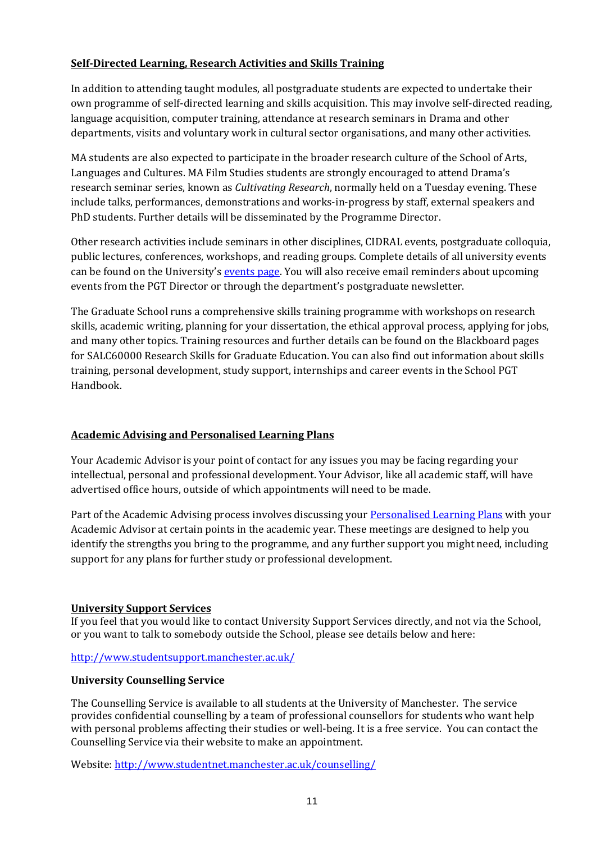## **Self-Directed Learning, Research Activities and Skills Training**

In addition to attending taught modules, all postgraduate students are expected to undertake their own programme of self-directed learning and skills acquisition. This may involve self-directed reading, language acquisition, computer training, attendance at research seminars in Drama and other departments, visits and voluntary work in cultural sector organisations, and many other activities.

MA students are also expected to participate in the broader research culture of the School of Arts, Languages and Cultures. MA Film Studies students are strongly encouraged to attend Drama's research seminar series, known as *Cultivating Research*, normally held on a Tuesday evening. These include talks, performances, demonstrations and works-in-progress by staff, external speakers and PhD students. Further details will be disseminated by the Programme Director.

Other research activities include seminars in other disciplines, CIDRAL events, postgraduate colloquia, public lectures, conferences, workshops, and reading groups. Complete details of all university events can be found on the University's [events page.](http://events.manchester.ac.uk/highlights/) You will also receive email reminders about upcoming events from the PGT Director or through the department's postgraduate newsletter.

The Graduate School runs a comprehensive skills training programme with workshops on research skills, academic writing, planning for your dissertation, the ethical approval process, applying for jobs, and many other topics. Training resources and further details can be found on the Blackboard pages for SALC60000 Research Skills for Graduate Education. You can also find out information about skills training, personal development, study support, internships and career events in the School PGT Handbook.

## **Academic Advising and Personalised Learning Plans**

Your Academic Advisor is your point of contact for any issues you may be facing regarding your intellectual, personal and professional development. Your Advisor, like all academic staff, will have advertised office hours, outside of which appointments will need to be made.

Part of the Academic Advising process involves discussing you[r Personalised Learning Plans](http://www.alc.manchester.ac.uk/studentintranet/postgraduatetaught/) with your Academic Advisor at certain points in the academic year. These meetings are designed to help you identify the strengths you bring to the programme, and any further support you might need, including support for any plans for further study or professional development.

### **University Support Services**

If you feel that you would like to contact University Support Services directly, and not via the School, or you want to talk to somebody outside the School, please see details below and here:

### <http://www.studentsupport.manchester.ac.uk/>

### **University Counselling Service**

The Counselling Service is available to all students at the University of Manchester. The service provides confidential counselling by a team of professional counsellors for students who want help with personal problems affecting their studies or well-being. It is a free service. You can contact the Counselling Service via their website to make an appointment.

Website[: http://www.studentnet.manchester.ac.uk/counselling/](http://www.studentnet.manchester.ac.uk/counselling/)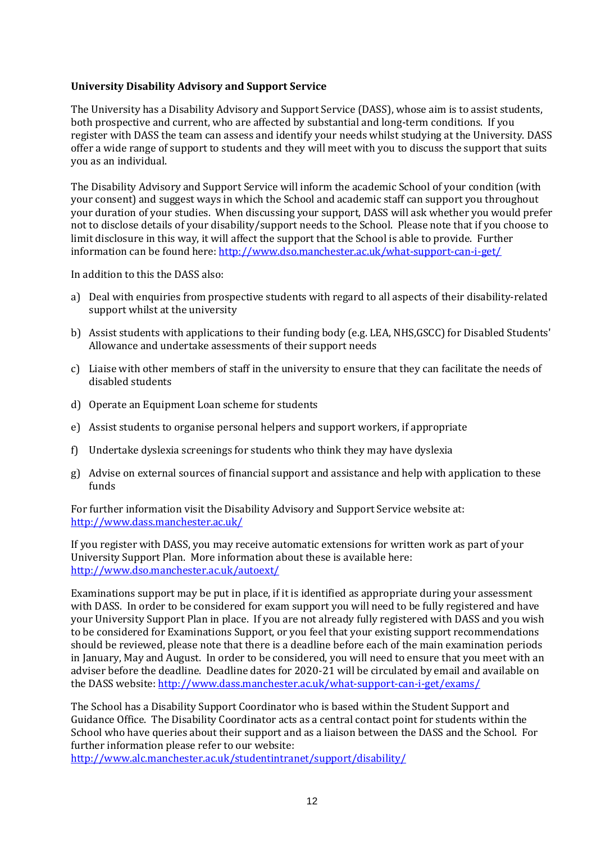#### **University Disability Advisory and Support Service**

The University has a Disability Advisory and Support Service (DASS), whose aim is to assist students, both prospective and current, who are affected by substantial and long-term conditions. If you register with DASS the team can assess and identify your needs whilst studying at the University. DASS offer a wide range of support to students and they will meet with you to discuss the support that suits you as an individual.

The Disability Advisory and Support Service will inform the academic School of your condition (with your consent) and suggest ways in which the School and academic staff can support you throughout your duration of your studies. When discussing your support, DASS will ask whether you would prefer not to disclose details of your disability/support needs to the School. Please note that if you choose to limit disclosure in this way, it will affect the support that the School is able to provide. Further information can be found here: http://www.dso.manchester.ac.uk/what-support-can-i-get/

In addition to this the DASS also:

- a) Deal with enquiries from prospective students with regard to all aspects of their disability-related support whilst at the university
- b) Assist students with applications to their funding body (e.g. LEA, NHS,GSCC) for Disabled Students' Allowance and undertake assessments of their support needs
- c) Liaise with other members of staff in the university to ensure that they can facilitate the needs of disabled students
- d) Operate an Equipment Loan scheme for students
- e) Assist students to organise personal helpers and support workers, if appropriate
- f) Undertake dyslexia screenings for students who think they may have dyslexia
- g) Advise on external sources of financial support and assistance and help with application to these funds

For further information visit the Disability Advisory and Support Service website at: <http://www.dass.manchester.ac.uk/>

If you register with DASS, you may receive automatic extensions for written work as part of your University Support Plan. More information about these is available here: <http://www.dso.manchester.ac.uk/autoext/>

Examinations support may be put in place, if it is identified as appropriate during your assessment with DASS. In order to be considered for exam support you will need to be fully registered and have your University Support Plan in place. If you are not already fully registered with DASS and you wish to be considered for Examinations Support, or you feel that your existing support recommendations should be reviewed, please note that there is a deadline before each of the main examination periods in January, May and August. In order to be considered, you will need to ensure that you meet with an adviser before the deadline. Deadline dates for 2020-21 will be circulated by email and available on the DASS website:<http://www.dass.manchester.ac.uk/what-support-can-i-get/exams/>

The School has a Disability Support Coordinator who is based within the Student Support and Guidance Office. The Disability Coordinator acts as a central contact point for students within the School who have queries about their support and as a liaison between the DASS and the School. For further information please refer to our website:

<http://www.alc.manchester.ac.uk/studentintranet/support/disability/>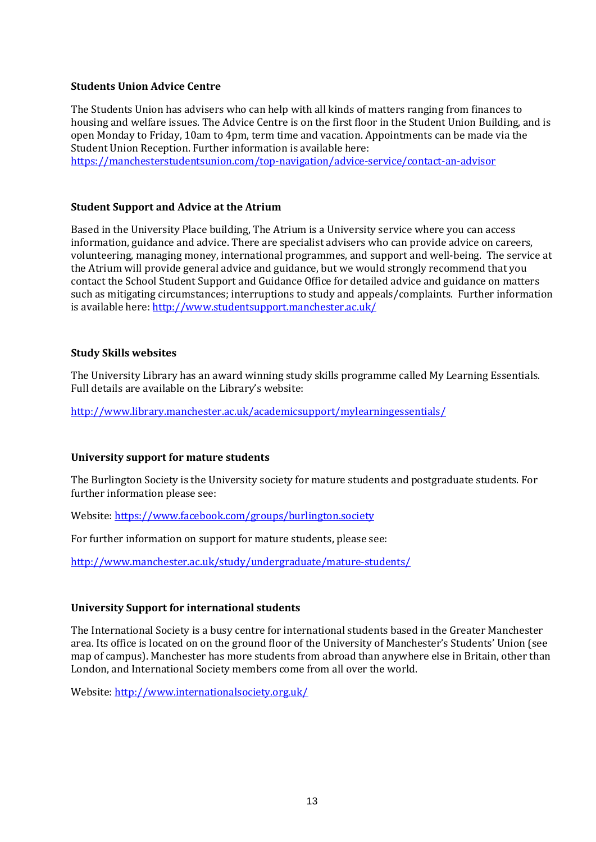#### **Students Union Advice Centre**

The Students Union has advisers who can help with all kinds of matters ranging from finances to housing and welfare issues. The Advice Centre is on the first floor in the Student Union Building, and is open Monday to Friday, 10am to 4pm, term time and vacation. Appointments can be made via the Student Union Reception. Further information is available here: <https://manchesterstudentsunion.com/top-navigation/advice-service/contact-an-advisor>

#### **Student Support and Advice at the Atrium**

Based in the University Place building, The Atrium is a University service where you can access information, guidance and advice. There are specialist advisers who can provide advice on careers, volunteering, managing money, international programmes, and support and well-being. The service at the Atrium will provide general advice and guidance, but we would strongly recommend that you contact the School Student Support and Guidance Office for detailed advice and guidance on matters such as mitigating circumstances; interruptions to study and appeals/complaints. Further information is available here: <http://www.studentsupport.manchester.ac.uk/>

#### **Study Skills websites**

The University Library has an award winning study skills programme called My Learning Essentials. Full details are available on the Library's website:

<http://www.library.manchester.ac.uk/academicsupport/mylearningessentials/>

### **University support for mature students**

The Burlington Society is the University society for mature students and postgraduate students. For further information please see:

Website[: https://www.facebook.com/groups/burlington.society](https://www.facebook.com/groups/burlington.society)

For further information on support for mature students, please see:

<http://www.manchester.ac.uk/study/undergraduate/mature-students/>

### **University Support for international students**

The International Society is a busy centre for international students based in the Greater Manchester area. Its office is located on on the ground floor of the University of Manchester's Students' Union (see map of campus). Manchester has more students from abroad than anywhere else in Britain, other than London, and International Society members come from all over the world.

Website[: http://www.internationalsociety.org.uk/](http://www.internationalsociety.org.uk/)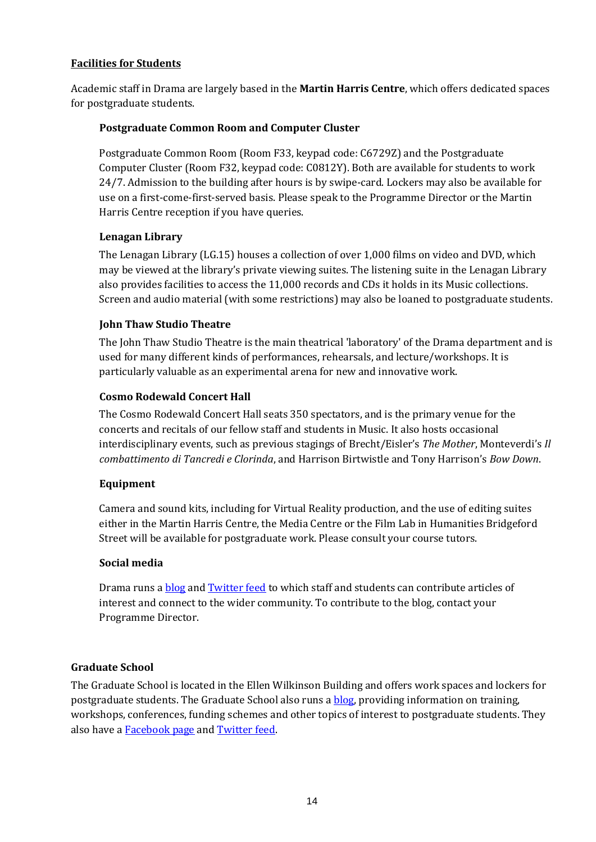## **Facilities for Students**

Academic staff in Drama are largely based in the **Martin Harris Centre**, which offers dedicated spaces for postgraduate students.

## **Postgraduate Common Room and Computer Cluster**

Postgraduate Common Room (Room F33, keypad code: C6729Z) and the Postgraduate Computer Cluster (Room F32, keypad code: C0812Y). Both are available for students to work 24/7. Admission to the building after hours is by swipe-card. Lockers may also be available for use on a first-come-first-served basis. Please speak to the Programme Director or the Martin Harris Centre reception if you have queries.

## **Lenagan Library**

The Lenagan Library (LG.15) houses a collection of over 1,000 films on video and DVD, which may be viewed at the library's private viewing suites. The listening suite in the Lenagan Library also provides facilities to access the 11,000 records and CDs it holds in its Music collections. Screen and audio material (with some restrictions) may also be loaned to postgraduate students.

## **John Thaw Studio Theatre**

The John Thaw Studio Theatre is the main theatrical 'laboratory' of the Drama department and is used for many different kinds of performances, rehearsals, and lecture/workshops. It is particularly valuable as an experimental arena for new and innovative work.

## **Cosmo Rodewald Concert Hall**

The Cosmo Rodewald Concert Hall seats 350 spectators, and is the primary venue for the concerts and recitals of our fellow staff and students in Music. It also hosts occasional interdisciplinary events, such as previous stagings of Brecht/Eisler's *The Mother*, Monteverdi's *Il combattimento di Tancredi e Clorinda*, and Harrison Birtwistle and Tony Harrison's *Bow Down*.

### **Equipment**

Camera and sound kits, including for Virtual Reality production, and the use of editing suites either in the Martin Harris Centre, the Media Centre or the Film Lab in Humanities Bridgeford Street will be available for postgraduate work. Please consult your course tutors.

### **Social media**

Drama runs a **[blog](https://manchesterdrama.wordpress.com/) and [Twitter feed](https://twitter.com/uomdrama) to which staff and students can contribute articles of** interest and connect to the wider community. To contribute to the blog, contact your Programme Director.

## **Graduate School**

The Graduate School is located in the Ellen Wilkinson Building and offers work spaces and lockers for postgraduate students. The Graduate School also runs [a blog,](https://sites.manchester.ac.uk/alc-grad-school/) providing information on training, workshops, conferences, funding schemes and other topics of interest to postgraduate students. They also have a [Facebook page](https://www.facebook.com/salcgraduateschool) and [Twitter feed.](https://twitter.com/AlcGradSchool)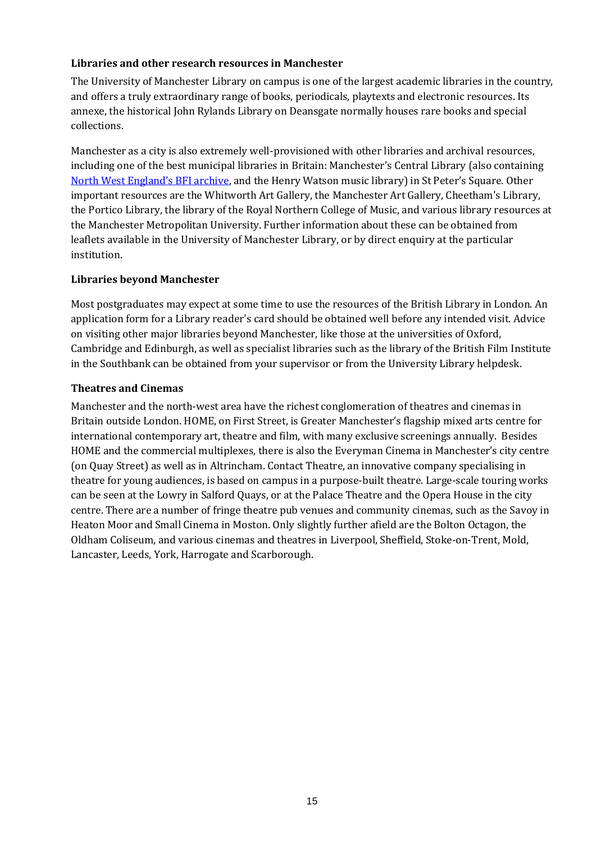## **Libraries and other research resources in Manchester**

The University of Manchester Library on campus is one of the largest academic libraries in the country, and offers a truly extraordinary range of books, periodicals, playtexts and electronic resources. Its annexe, the historical John Rylands Library on Deansgate normally houses rare books and special collections.

Manchester as a city is also extremely well-provisioned with other libraries and archival resources, including one of the best municipal libraries in Britain: Manchester's Central Library (also containing [North West England's BFI](http://www.manchester.gov.uk/info/500138/central_library/6316/what_you_can_do_at_central_library/2) archive, and the Henry Watson music library) in St Peter's Square. Other important resources are the Whitworth Art Gallery, the Manchester Art Gallery, Cheetham's Library, the Portico Library, the library of the Royal Northern College of Music, and various library resources at the Manchester Metropolitan University. Further information about these can be obtained from leaflets available in the University of Manchester Library, or by direct enquiry at the particular institution.

### **Libraries beyond Manchester**

Most postgraduates may expect at some time to use the resources of the British Library in London. An application form for a Library reader's card should be obtained well before any intended visit. Advice on visiting other major libraries beyond Manchester, like those at the universities of Oxford, Cambridge and Edinburgh, as well as specialist libraries such as the library of the British Film Institute in the Southbank can be obtained from your supervisor or from the University Library helpdesk.

## **Theatres and Cinemas**

Manchester and the north-west area have the richest conglomeration of theatres and cinemas in Britain outside London. HOME, on First Street, is Greater Manchester's flagship mixed arts centre for international contemporary art, theatre and film, with many exclusive screenings annually. Besides HOME and the commercial multiplexes, there is also the Everyman Cinema in Manchester's city centre (on Quay Street) as well as in Altrincham. Contact Theatre, an innovative company specialising in theatre for young audiences, is based on campus in a purpose-built theatre. Large-scale touring works can be seen at the Lowry in Salford Quays, or at the Palace Theatre and the Opera House in the city centre. There are a number of fringe theatre pub venues and community cinemas, such as the Savoy in Heaton Moor and Small Cinema in Moston. Only slightly further afield are the Bolton Octagon, the Oldham Coliseum, and various cinemas and theatres in Liverpool, Sheffield, Stoke-on-Trent, Mold, Lancaster, Leeds, York, Harrogate and Scarborough.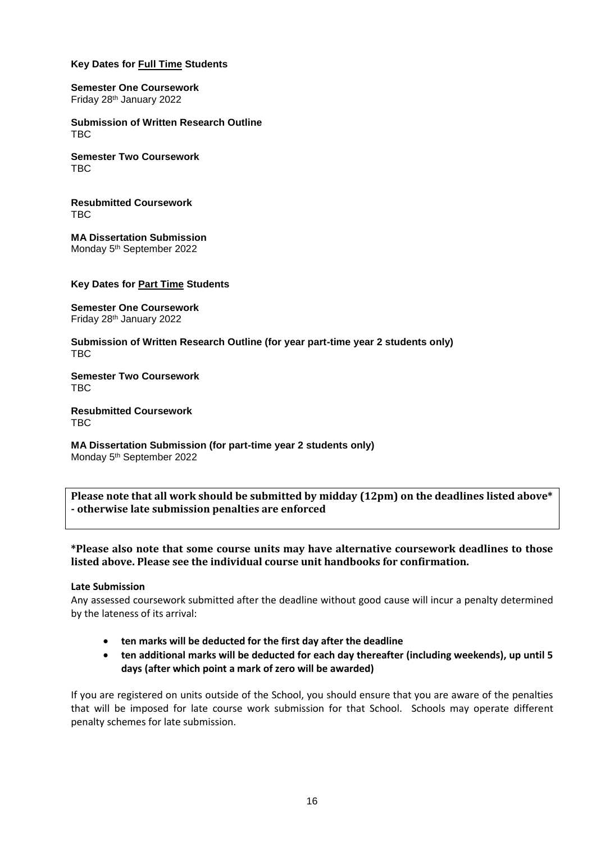#### **Key Dates for Full Time Students**

#### **Semester One Coursework** Friday 28th January 2022

**Submission of Written Research Outline** TBC

**Semester Two Coursework** TBC

**Resubmitted Coursework** TBC

**MA Dissertation Submission** Monday 5<sup>th</sup> September 2022

#### **Key Dates for Part Time Students**

**Semester One Coursework** Friday 28th January 2022

**Submission of Written Research Outline (for year part-time year 2 students only)** TBC

**Semester Two Coursework** TBC

**Resubmitted Coursework** TBC

**MA Dissertation Submission (for part-time year 2 students only)** Monday 5<sup>th</sup> September 2022

**Please note that all work should be submitted by midday (12pm) on the deadlines listed above\* - otherwise late submission penalties are enforced**

**\*Please also note that some course units may have alternative coursework deadlines to those listed above. Please see the individual course unit handbooks for confirmation.**

#### **Late Submission**

Any assessed coursework submitted after the deadline without good cause will incur a penalty determined by the lateness of its arrival:

- **ten marks will be deducted for the first day after the deadline**
- **ten additional marks will be deducted for each day thereafter (including weekends), up until 5 days (after which point a mark of zero will be awarded)**

If you are registered on units outside of the School, you should ensure that you are aware of the penalties that will be imposed for late course work submission for that School. Schools may operate different penalty schemes for late submission.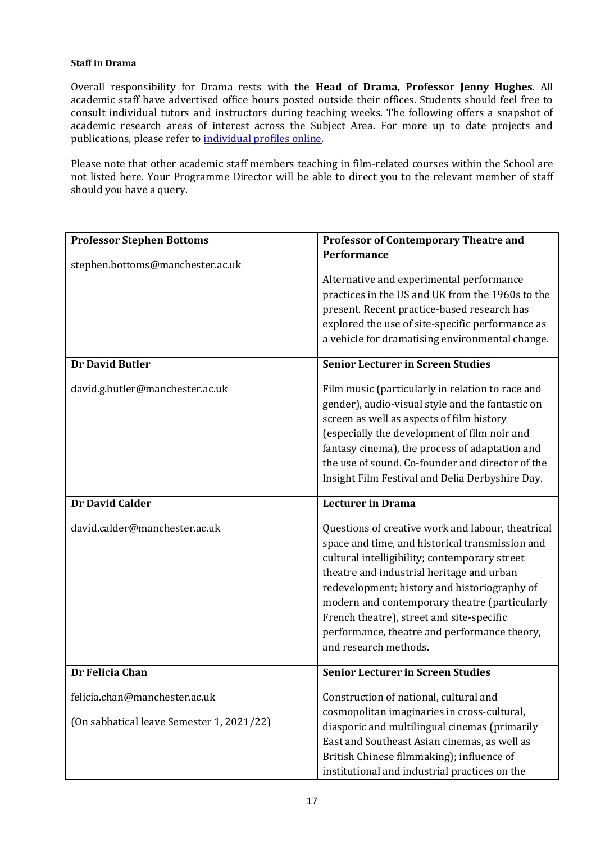#### **Staff in Drama**

Overall responsibility for Drama rests with the **Head of Drama, Professor Jenny Hughes**. All academic staff have advertised office hours posted outside their offices. Students should feel free to consult individual tutors and instructors during teaching weeks. The following offers a snapshot of academic research areas of interest across the Subject Area. For more up to date projects and publications, please refer t[o individual profiles online.](http://www.alc.manchester.ac.uk/drama/about/people/)

Please note that other academic staff members teaching in film-related courses within the School are not listed here. Your Programme Director will be able to direct you to the relevant member of staff should you have a query.

| <b>Professor Stephen Bottoms</b><br>stephen.bottoms@manchester.ac.uk                          | <b>Professor of Contemporary Theatre and</b><br><b>Performance</b><br>Alternative and experimental performance<br>practices in the US and UK from the 1960s to the<br>present. Recent practice-based research has<br>explored the use of site-specific performance as<br>a vehicle for dramatising environmental change.                                                                                                                              |
|-----------------------------------------------------------------------------------------------|-------------------------------------------------------------------------------------------------------------------------------------------------------------------------------------------------------------------------------------------------------------------------------------------------------------------------------------------------------------------------------------------------------------------------------------------------------|
| <b>Dr David Butler</b><br>david.g.butler@manchester.ac.uk                                     | <b>Senior Lecturer in Screen Studies</b><br>Film music (particularly in relation to race and<br>gender), audio-visual style and the fantastic on<br>screen as well as aspects of film history<br>(especially the development of film noir and<br>fantasy cinema), the process of adaptation and<br>the use of sound. Co-founder and director of the<br>Insight Film Festival and Delia Derbyshire Day.                                                |
| <b>Dr David Calder</b><br>david.calder@manchester.ac.uk                                       | <b>Lecturer in Drama</b><br>Questions of creative work and labour, theatrical<br>space and time, and historical transmission and<br>cultural intelligibility; contemporary street<br>theatre and industrial heritage and urban<br>redevelopment; history and historiography of<br>modern and contemporary theatre (particularly<br>French theatre), street and site-specific<br>performance, theatre and performance theory,<br>and research methods. |
| Dr Felicia Chan<br>felicia.chan@manchester.ac.uk<br>(On sabbatical leave Semester 1, 2021/22) | <b>Senior Lecturer in Screen Studies</b><br>Construction of national, cultural and<br>cosmopolitan imaginaries in cross-cultural,<br>diasporic and multilingual cinemas (primarily<br>East and Southeast Asian cinemas, as well as<br>British Chinese filmmaking); influence of<br>institutional and industrial practices on the                                                                                                                      |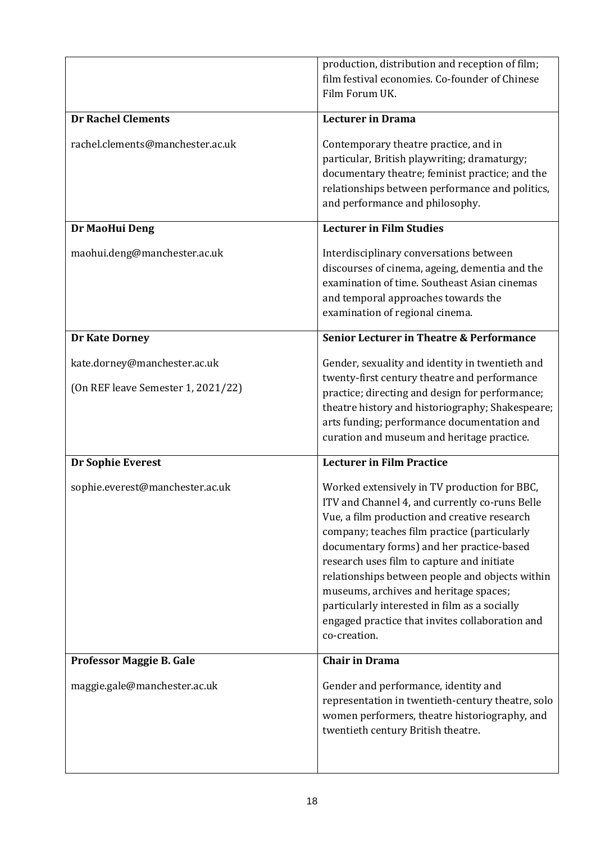|                                                                    | production, distribution and reception of film;<br>film festival economies. Co-founder of Chinese<br>Film Forum UK.                                                                                                                                                                                                                                                                                                                                                                                        |
|--------------------------------------------------------------------|------------------------------------------------------------------------------------------------------------------------------------------------------------------------------------------------------------------------------------------------------------------------------------------------------------------------------------------------------------------------------------------------------------------------------------------------------------------------------------------------------------|
| <b>Dr Rachel Clements</b>                                          | <b>Lecturer in Drama</b>                                                                                                                                                                                                                                                                                                                                                                                                                                                                                   |
| rachel.clements@manchester.ac.uk                                   | Contemporary theatre practice, and in<br>particular, British playwriting; dramaturgy;<br>documentary theatre; feminist practice; and the<br>relationships between performance and politics,<br>and performance and philosophy.                                                                                                                                                                                                                                                                             |
| Dr MaoHui Deng                                                     | <b>Lecturer in Film Studies</b>                                                                                                                                                                                                                                                                                                                                                                                                                                                                            |
| maohui.deng@manchester.ac.uk                                       | Interdisciplinary conversations between<br>discourses of cinema, ageing, dementia and the<br>examination of time. Southeast Asian cinemas<br>and temporal approaches towards the<br>examination of regional cinema.                                                                                                                                                                                                                                                                                        |
| <b>Dr Kate Dorney</b>                                              | <b>Senior Lecturer in Theatre &amp; Performance</b>                                                                                                                                                                                                                                                                                                                                                                                                                                                        |
| kate.dorney@manchester.ac.uk<br>(On REF leave Semester 1, 2021/22) | Gender, sexuality and identity in twentieth and<br>twenty-first century theatre and performance<br>practice; directing and design for performance;<br>theatre history and historiography; Shakespeare;<br>arts funding; performance documentation and<br>curation and museum and heritage practice.                                                                                                                                                                                                        |
| Dr Sophie Everest                                                  | <b>Lecturer in Film Practice</b>                                                                                                                                                                                                                                                                                                                                                                                                                                                                           |
| sophie.everest@manchester.ac.uk                                    | Worked extensively in TV production for BBC,<br>ITV and Channel 4, and currently co-runs Belle<br>Vue, a film production and creative research<br>company; teaches film practice (particularly<br>documentary forms) and her practice-based<br>research uses film to capture and initiate<br>relationships between people and objects within<br>museums, archives and heritage spaces;<br>particularly interested in film as a socially<br>engaged practice that invites collaboration and<br>co-creation. |
| Professor Maggie B. Gale                                           | <b>Chair in Drama</b>                                                                                                                                                                                                                                                                                                                                                                                                                                                                                      |
| maggie.gale@manchester.ac.uk                                       | Gender and performance, identity and<br>representation in twentieth-century theatre, solo<br>women performers, theatre historiography, and<br>twentieth century British theatre.                                                                                                                                                                                                                                                                                                                           |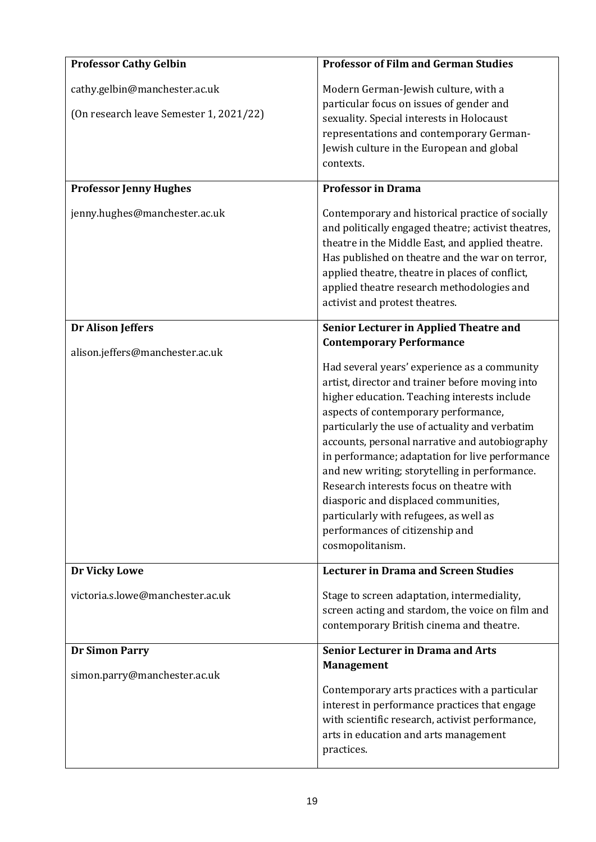| <b>Professor Cathy Gelbin</b>                                            | <b>Professor of Film and German Studies</b>                                                                                                                                                                                                                                                                                                                                                                                                                                                                                                                                                                             |
|--------------------------------------------------------------------------|-------------------------------------------------------------------------------------------------------------------------------------------------------------------------------------------------------------------------------------------------------------------------------------------------------------------------------------------------------------------------------------------------------------------------------------------------------------------------------------------------------------------------------------------------------------------------------------------------------------------------|
| cathy.gelbin@manchester.ac.uk<br>(On research leave Semester 1, 2021/22) | Modern German-Jewish culture, with a<br>particular focus on issues of gender and<br>sexuality. Special interests in Holocaust<br>representations and contemporary German-<br>Jewish culture in the European and global<br>contexts.                                                                                                                                                                                                                                                                                                                                                                                     |
| <b>Professor Jenny Hughes</b>                                            | <b>Professor in Drama</b>                                                                                                                                                                                                                                                                                                                                                                                                                                                                                                                                                                                               |
| jenny.hughes@manchester.ac.uk                                            | Contemporary and historical practice of socially<br>and politically engaged theatre; activist theatres,<br>theatre in the Middle East, and applied theatre.<br>Has published on theatre and the war on terror,<br>applied theatre, theatre in places of conflict,<br>applied theatre research methodologies and<br>activist and protest theatres.                                                                                                                                                                                                                                                                       |
| <b>Dr Alison Jeffers</b>                                                 | Senior Lecturer in Applied Theatre and                                                                                                                                                                                                                                                                                                                                                                                                                                                                                                                                                                                  |
| alison.jeffers@manchester.ac.uk                                          | <b>Contemporary Performance</b><br>Had several years' experience as a community<br>artist, director and trainer before moving into<br>higher education. Teaching interests include<br>aspects of contemporary performance,<br>particularly the use of actuality and verbatim<br>accounts, personal narrative and autobiography<br>in performance; adaptation for live performance<br>and new writing; storytelling in performance.<br>Research interests focus on theatre with<br>diasporic and displaced communities,<br>particularly with refugees, as well as<br>performances of citizenship and<br>cosmopolitanism. |
| Dr Vicky Lowe                                                            | <b>Lecturer in Drama and Screen Studies</b>                                                                                                                                                                                                                                                                                                                                                                                                                                                                                                                                                                             |
| victoria.s.lowe@manchester.ac.uk                                         | Stage to screen adaptation, intermediality,<br>screen acting and stardom, the voice on film and<br>contemporary British cinema and theatre.                                                                                                                                                                                                                                                                                                                                                                                                                                                                             |
| <b>Dr Simon Parry</b>                                                    | <b>Senior Lecturer in Drama and Arts</b>                                                                                                                                                                                                                                                                                                                                                                                                                                                                                                                                                                                |
| simon.parry@manchester.ac.uk                                             | <b>Management</b><br>Contemporary arts practices with a particular<br>interest in performance practices that engage<br>with scientific research, activist performance,<br>arts in education and arts management<br>practices.                                                                                                                                                                                                                                                                                                                                                                                           |